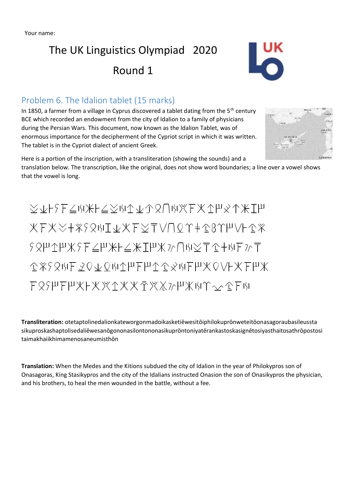# The UK Linguistics Olympiad 2020 Round 1



### Problem 6. The Idalion tablet (15 marks)

In 1850, a farmer from a village in Cyprus discovered a tablet dating from the  $5<sup>th</sup>$  century BCE which recorded an endowment from the city of Idalion to a family of physicians during the Persian Wars. This document, now known as the Idalion Tablet, was of enormous importance for the decipherment of the Cypriot script in which it was written. The tablet is in the Cypriot dialect of ancient Greek.



Here is a portion of the inscription, with a transliteration (showing the sounds) and a translation below. The transcription, like the original, does not show word boundaries; a line over a vowel shows that the vowel is long.

XvFSEZWXFZXWAVARUWXEXAPXAXIP XFXX+XSQWI&XFXTVNQY+18YHVL1X ?&H1HX?F∠H米F∠米IHX}^∩W∑T1+WF}^T @XSQWFQQ&QWAPFPA@&WFPXQVFXFPX F89HFHXFXXAXXAXXMHXMY~^CFM

**Transliteration:** otetaptolinedalionkateworgonmadoikasketiēwesitōiphilokuprōnweteitōonasagoraubasileussta sikuproskashaptolisedaliēwesanōgononasilontononasikuprōntoniyatērankastoskasignētosiyasthaitosathrōpostosi taimakhaiikhimamenosaneumisthōn

**Translation:** When the Medes and the Kitions subdued the city of Idalion in the year of Philokypros son of Onasagoras, King Stasikypros and the city of the Idalians instructed Onasion the son of Onasikypros the physician, and his brothers, to heal the men wounded in the battle, without a fee.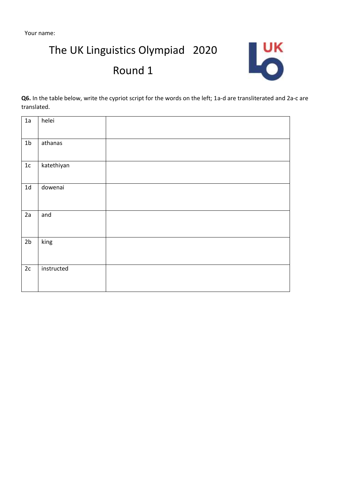Your name:

The UK Linguistics Olympiad 2020

## Round 1



**Q6.** In the table below, write the cypriot script for the words on the left; 1a-d are transliterated and 2a-c are translated.

| 1a             | helei      |  |
|----------------|------------|--|
| 1 <sub>b</sub> | athanas    |  |
| $1\mathrm{c}$  | katethiyan |  |
| $1d$           | dowenai    |  |
| 2a             | and        |  |
| 2 <sub>b</sub> | king       |  |
| 2c             | instructed |  |